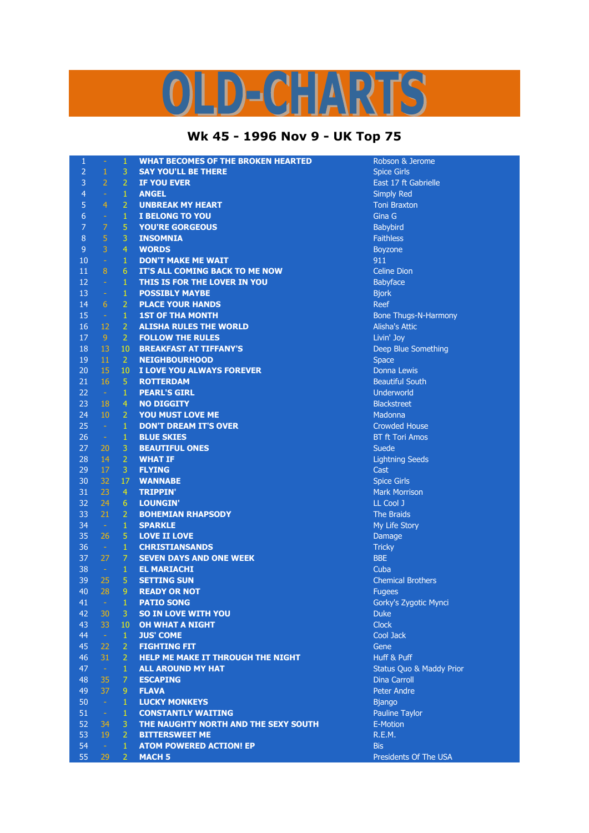## D-CHARTS L,

## **Wk 45 - 1996 Nov 9 - UK Top 75**

| $\mathbf{1}$   | $\overline{\phantom{a}}$ | $\mathbf{1}$        | <b>WHAT BECOMES OF THE BROKEN HEARTED</b>                            | Robson & Jerome                                    |
|----------------|--------------------------|---------------------|----------------------------------------------------------------------|----------------------------------------------------|
| $\overline{2}$ | $\mathbf{1}$             | 3                   | <b>SAY YOU'LL BE THERE</b>                                           | <b>Spice Girls</b>                                 |
| 3              | $\overline{2}$           | $\overline{2}$      | <b>IF YOU EVER</b>                                                   | East 17 ft Gabrielle                               |
| 4              | $\equiv$                 | $\mathbf{1}$        | <b>ANGEL</b>                                                         | <b>Simply Red</b>                                  |
| 5              | $\overline{4}$           | $\overline{2}$      | <b>UNBREAK MY HEART</b>                                              | <b>Toni Braxton</b>                                |
| 6              | $\omega$                 | $\mathbf{1}$        | <b>I BELONG TO YOU</b>                                               | Gina G                                             |
| 7              | 7                        | $\overline{5}$      | <b>YOU'RE GORGEOUS</b>                                               | Babybird                                           |
| 8              | $\sqrt{5}$               | 3                   | <b>INSOMNIA</b>                                                      | <b>Faithless</b>                                   |
| $\overline{9}$ | $\overline{3}$           | $\overline{4}$      | <b>WORDS</b>                                                         | <b>Boyzone</b>                                     |
| 10             | $\Delta$                 | $\mathbf{1}$        | <b>DON'T MAKE ME WAIT</b>                                            | 911                                                |
| 11             | 8                        | 6                   | IT'S ALL COMING BACK TO ME NOW                                       | <b>Celine Dion</b>                                 |
| 12             | $\sim$                   | $\mathbf{1}$        | THIS IS FOR THE LOVER IN YOU                                         | Babyface                                           |
| 13             | $\sim$                   | $\mathbf{1}$        | <b>POSSIBLY MAYBE</b>                                                | <b>Bjork</b>                                       |
| 14             | 6                        | $\overline{2}$      | <b>PLACE YOUR HANDS</b>                                              | Reef                                               |
| 15             | $\sim$ $^{-1}$           | $\mathbf{1}$        | <b>1ST OF THA MONTH</b>                                              | <b>Bone Thugs-N-Harmony</b>                        |
| 16             | 12                       | $\overline{2}$      | <b>ALISHA RULES THE WORLD</b>                                        | <b>Alisha's Attic</b>                              |
| 17             | 9                        | 2 <sup>1</sup>      | <b>FOLLOW THE RULES</b>                                              | Livin' Joy                                         |
| 18             | 13                       | 10 <sub>1</sub>     | <b>BREAKFAST AT TIFFANY'S</b>                                        | Deep Blue Something                                |
| 19             | 11                       | 2 <sup>1</sup>      | <b>NEIGHBOURHOOD</b>                                                 | <b>Space</b>                                       |
| 20             | 15                       | 10 <sup>°</sup>     | I LOVE YOU ALWAYS FOREVER                                            | <b>Donna Lewis</b>                                 |
| 21             | 16                       | 5 <sup>1</sup>      | <b>ROTTERDAM</b>                                                     | <b>Beautiful South</b>                             |
| 22             | $\sim$                   | $\mathbf{1}$        | <b>PEARL'S GIRL</b>                                                  | Underworld                                         |
| 23             | 18                       | $\overline{4}$      | <b>NO DIGGITY</b>                                                    | <b>Blackstreet</b>                                 |
| 24             | 10                       | $\overline{2}$      | YOU MUST LOVE ME                                                     | Madonna                                            |
| 25             | $\sim$                   | $\mathbf{1}$        | <b>DON'T DREAM IT'S OVER</b>                                         | <b>Crowded House</b>                               |
| 26             | $\sim$                   | $\mathbf{1}$        | <b>BLUE SKIES</b>                                                    | <b>BT ft Tori Amos</b>                             |
| 27             | 20                       | 3                   | <b>BEAUTIFUL ONES</b>                                                | Suede                                              |
| 28             | 14                       | $\overline{2}$      | <b>WHAT IF</b>                                                       | <b>Lightning Seeds</b>                             |
| 29             | 17                       | $\mathbf{3}$        | <b>FLYING</b>                                                        | Cast                                               |
| 30             | 32                       | 17                  | <b>WANNABE</b>                                                       | <b>Spice Girls</b>                                 |
| 31             | 23                       | $\overline{4}$      | <b>TRIPPIN'</b>                                                      | <b>Mark Morrison</b>                               |
| 32             | 24                       | 6 <sup>1</sup>      | <b>LOUNGIN'</b>                                                      | LL Cool J                                          |
| 33             | 21                       | $\overline{2}$      | <b>BOHEMIAN RHAPSODY</b>                                             | The Braids                                         |
| 34             | $\sim$                   | $\mathbf{1}$        | <b>SPARKLE</b>                                                       | My Life Story                                      |
| 35             | 26                       | 5 <sup>1</sup>      | <b>LOVE II LOVE</b>                                                  | Damage                                             |
| 36             | $\sim$ $\sim$            | $\mathbf{1}$        | <b>CHRISTIANSANDS</b>                                                | <b>Tricky</b>                                      |
| 37             | 27                       | $\mathcal{I}$       | <b>SEVEN DAYS AND ONE WEEK</b>                                       | <b>BBE</b>                                         |
| 38             | $\sim$                   | $\mathbf{1}$        | <b>EL MARIACHI</b>                                                   | Cuba                                               |
| 39             | 25                       | $\overline{5}$      | <b>SETTING SUN</b>                                                   | <b>Chemical Brothers</b>                           |
| 40             | 28                       | $\overline{9}$      | <b>READY OR NOT</b>                                                  | <b>Fugees</b>                                      |
| 41             | $\mathbb{R}^2$           | $1\,$               | <b>PATIO SONG</b>                                                    | Gorky's Zygotic Mynci                              |
| 42             | 30                       | 3                   | <b>SO IN LOVE WITH YOU</b>                                           | <b>Duke</b>                                        |
| 43             | 33                       | 10 <sup>°</sup>     | <b>OH WHAT A NIGHT</b>                                               | <b>Clock</b>                                       |
| 44             | $\sim$                   | $\mathbf{1}$        | <b>JUS' COME</b>                                                     | Cool Jack                                          |
| 45<br>46       | 22<br>31                 | 2<br>$\overline{2}$ | <b>FIGHTING FIT</b>                                                  | Gene                                               |
| 47             | $\sim$                   | $\mathbf{1}$        | <b>HELP ME MAKE IT THROUGH THE NIGHT</b><br><b>ALL AROUND MY HAT</b> | Huff & Puff<br><b>Status Quo &amp; Maddy Prior</b> |
| 48             | 35                       | $\mathcal{I}$       | <b>ESCAPING</b>                                                      | <b>Dina Carroll</b>                                |
| 49             | 37                       | 9                   | <b>FLAVA</b>                                                         | <b>Peter Andre</b>                                 |
| 50             | $\sim$                   | $\mathbf{1}$        | <b>LUCKY MONKEYS</b>                                                 | <b>Bjango</b>                                      |
| 51             | $\sim$                   | $\mathbf{1}$        | <b>CONSTANTLY WAITING</b>                                            | Pauline Taylor                                     |
| 52             | 34                       | 3.                  | THE NAUGHTY NORTH AND THE SEXY SOUTH                                 | E-Motion                                           |
| 53             | 19                       | $\mathbf{2}$        | <b>BITTERSWEET ME</b>                                                | R.E.M.                                             |
| 54             | $\sim$                   | $\mathbf{1}$        | <b>ATOM POWERED ACTION! EP</b>                                       | <b>Bis</b>                                         |
| 55             | 29                       | $\overline{2}$      | <b>MACH 5</b>                                                        | Presidents Of The USA                              |
|                |                          |                     |                                                                      |                                                    |